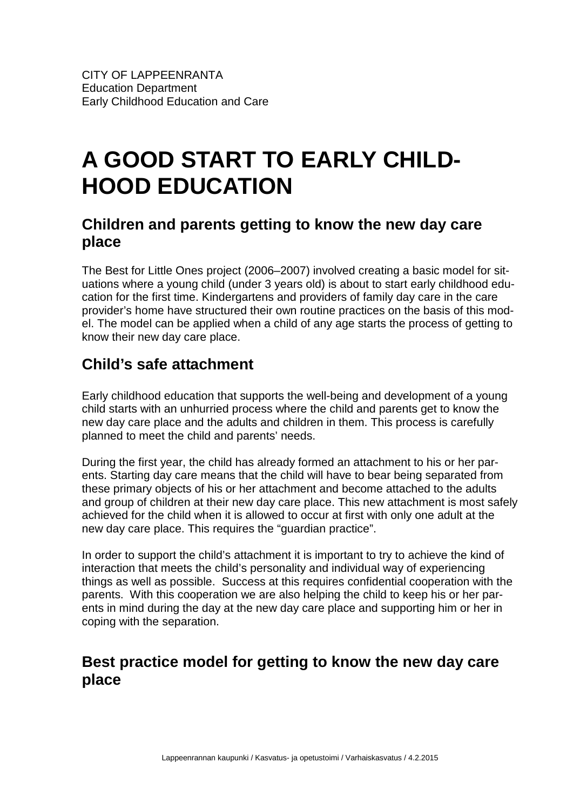## **A GOOD START TO EARLY CHILD-HOOD EDUCATION**

## **Children and parents getting to know the new day care place**

The Best for Little Ones project (2006–2007) involved creating a basic model for situations where a young child (under 3 years old) is about to start early childhood education for the first time. Kindergartens and providers of family day care in the care provider's home have structured their own routine practices on the basis of this model. The model can be applied when a child of any age starts the process of getting to know their new day care place.

## **Child's safe attachment**

Early childhood education that supports the well-being and development of a young child starts with an unhurried process where the child and parents get to know the new day care place and the adults and children in them. This process is carefully planned to meet the child and parents' needs.

During the first year, the child has already formed an attachment to his or her parents. Starting day care means that the child will have to bear being separated from these primary objects of his or her attachment and become attached to the adults and group of children at their new day care place. This new attachment is most safely achieved for the child when it is allowed to occur at first with only one adult at the new day care place. This requires the "guardian practice".

In order to support the child's attachment it is important to try to achieve the kind of interaction that meets the child's personality and individual way of experiencing things as well as possible. Success at this requires confidential cooperation with the parents. With this cooperation we are also helping the child to keep his or her parents in mind during the day at the new day care place and supporting him or her in coping with the separation.

## **Best practice model for getting to know the new day care place**